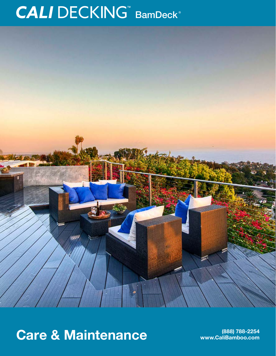# CALI DECKING™ BamDeck®



## Care & Maintenance **Care & Maintenance**

**www.CaliBamboo.com**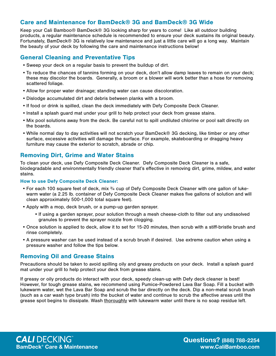#### Care and Maintenance for BamDeck® 3G and BamDeck® 3G Wide

Keep your Cali Bamboo® BamDeck® 3G looking sharp for years to come! Like all outdoor building products, a regular maintenance schedule is recommended to ensure your deck sustains its original beauty. Fortunately, BamDeck® 3G is relatively low maintenance and just a little care will go a long way. Maintain the beauty of your deck by following the care and maintenance instructions below!

#### General Cleaning and Preventative Tips

- •Sweep your deck on a regular basis to prevent the buildup of dirt.
- •To reduce the chances of tannins forming on your deck, don't allow damp leaves to remain on your deck; these may discolor the boards. Generally, a broom or a blower will work better than a hose for removing scattered foliage.
- •Allow for proper water drainage; standing water can cause discoloration.
- •Dislodge accumulated dirt and debris between planks with a broom.
- •If food or drink is spilled, clean the deck immediately with Defy Composite Deck Cleaner.
- •Install a splash guard mat under your grill to help protect your deck from grease stains.
- Mix pool solutions away from the deck. Be careful not to spill undiluted chlorine or pool salt directly on the boards.
- While normal day to day activities will not scratch your BamDeck® 3G decking, like timber or any other surface, excessive activities will damage the surface. For example, skateboarding or dragging heavy furniture may cause the exterior to scratch, abrade or chip.

#### Removing Dirt, Grime and Water Stains

To clean your deck, use Defy Composite Deck Cleaner. Defy Composite Deck Cleaner is a safe, biodegradable and environmentally friendly cleaner that's effective in removing dirt, grime, mildew, and water stains.

#### How to use Defy Composite Deck Cleaner:

- For each 100 square feet of deck, mix  $\frac{3}{4}$  cup of Defy Composite Deck Cleaner with one gallon of lukewarm water (a 2.25 lb. container of Defy Composite Deck Cleaner makes five gallons of solution and will clean approximately 500-1,000 total square feet).
- •Apply with a mop, deck brush, or a pump-up garden sprayer.
	- •If using a garden sprayer, pour solution through a mesh cheese-cloth to filter out any undissolved granules to prevent the sprayer nozzle from clogging.
- Once solution is applied to deck, allow it to set for 15-20 minutes, then scrub with a stiff-bristle brush and rinse completely.
- •A pressure washer can be used instead of a scrub brush if desired. Use extreme caution when using a pressure washer and follow the tips below.

#### Removing Oil and Grease Stains

Precautions should be taken to avoid spilling oily and greasy products on your deck. Install a splash guard mat under your grill to help protect your deck from grease stains.

If greasy or oily products do interact with your deck, speedy clean-up with Defy deck cleaner is best! However, for tough grease stains, we recommend using Pumice-Powdered Lava Bar Soap. Fill a bucket with lukewarm water, wet the Lava Bar Soap and scrub the bar directly on the deck. Dip a non-metal scrub brush (such as a car wash type brush) into the bucket of water and continue to scrub the affective areas until the grease spot begins to dissipate. Wash thoroughly with lukewarm water until there is no soap residue left.